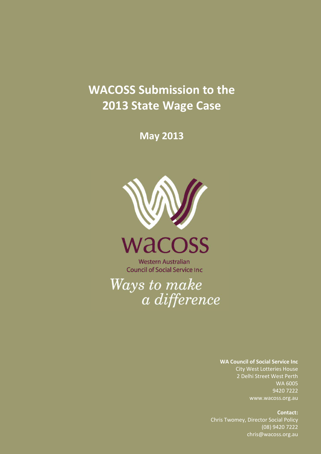# **WACOSS Submission to the 2013 State Wage Case**

**May 2013**





**Western Australian Council of Social Service Inc.** 

Ways to make a difference

> **WA Council of Social Service Inc**  City West Lotteries House 2 Delhi Street West Perth WA 6005 9420 7222 www.wacoss.org.au

WACOSS Submission — *2013 State Wage Case* 1 Chris Twomey, Director Social Policy **Contact:**  (08) 9420 7222 chris@wacoss.org.au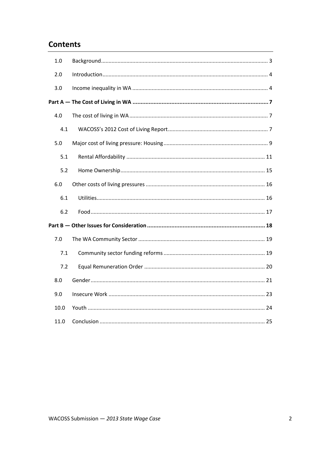# **Contents**

| 1.0  |  |
|------|--|
| 2.0  |  |
| 3.0  |  |
|      |  |
| 4.0  |  |
| 4.1  |  |
| 5.0  |  |
| 5.1  |  |
| 5.2  |  |
| 6.0  |  |
| 6.1  |  |
| 6.2  |  |
|      |  |
| 7.0  |  |
| 7.1  |  |
| 7.2  |  |
| 8.0  |  |
| 9.0  |  |
| 10.0 |  |
| 11.0 |  |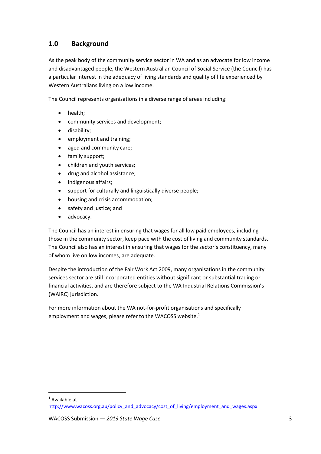# <span id="page-2-0"></span>**1.0 Background**

As the peak body of the community service sector in WA and as an advocate for low income and disadvantaged people, the Western Australian Council of Social Service (the Council) has a particular interest in the adequacy of living standards and quality of life experienced by Western Australians living on a low income.

The Council represents organisations in a diverse range of areas including:

- health;
- community services and development;
- disability;
- employment and training;
- aged and community care;
- family support;
- children and youth services;
- drug and alcohol assistance;
- indigenous affairs;
- support for culturally and linguistically diverse people;
- housing and crisis accommodation;
- safety and justice; and
- advocacy.

The Council has an interest in ensuring that wages for all low paid employees, including those in the community sector, keep pace with the cost of living and community standards. The Council also has an interest in ensuring that wages for the sector's constituency, many of whom live on low incomes, are adequate.

Despite the introduction of the Fair Work Act 2009, many organisations in the community services sector are still incorporated entities without significant or substantial trading or financial activities, and are therefore subject to the WA Industrial Relations Commission's (WAIRC) jurisdiction.

For more information about the WA not-for-profit organisations and specifically employment and wages, please refer to the WACOSS website.<sup>1</sup>

<sup>1</sup> Available at

[http://www.wacoss.org.au/policy\\_and\\_advocacy/cost\\_of\\_living/employment\\_and\\_wages.aspx](http://www.wacoss.org.au/policy_and_advocacy/cost_of_living/employment_and_wages.aspx)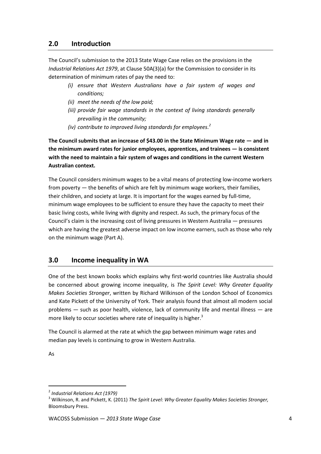## <span id="page-3-0"></span>**2.0 Introduction**

The Council's submission to the 2013 State Wage Case relies on the provisions in the *Industrial Relations Act 1979*, at Clause 50A(3)(a) for the Commission to consider in its determination of minimum rates of pay the need to:

- *(i) ensure that Western Australians have a fair system of wages and conditions;*
- *(ii) meet the needs of the low paid;*
- *(iii) provide fair wage standards in the context of living standards generally prevailing in the community;*
- *(iv) contribute to improved living standards for employees. 2*

**The Council submits that an increase of \$43.00 in the State Minimum Wage rate — and in the minimum award rates for junior employees, apprentices, and trainees — is consistent with the need to maintain a fair system of wages and conditions in the current Western Australian context.**

The Council considers minimum wages to be a vital means of protecting low-income workers from poverty — the benefits of which are felt by minimum wage workers, their families, their children, and society at large. It is important for the wages earned by full-time, minimum wage employees to be sufficient to ensure they have the capacity to meet their basic living costs, while living with dignity and respect. As such, the primary focus of the Council's claim is the increasing cost of living pressures in Western Australia — pressures which are having the greatest adverse impact on low income earners, such as those who rely on the minimum wage (Part A).

# <span id="page-3-1"></span>**3.0 Income inequality in WA**

One of the best known books which explains why first-world countries like Australia should be concerned about growing income inequality, is *The Spirit Level: Why Greater Equality Makes Societies Stronger*, written by Richard Wilkinson of the London School of Economics and Kate Pickett of the University of York. Their analysis found that almost all modern social problems — such as poor health, violence, lack of community life and mental illness — are more likely to occur societies where rate of inequality is higher.<sup>3</sup>

The Council is alarmed at the rate at which the gap between minimum wage rates and median pay levels is continuing to grow in Western Australia.

As

<sup>2</sup> *Industrial Relations Act (1979)*

<sup>3</sup> Wilkinson, R. and Pickett, K. (2011) *The Spirit Level: Why Greater Equality Makes Societies Stronger,*  Bloomsbury Press.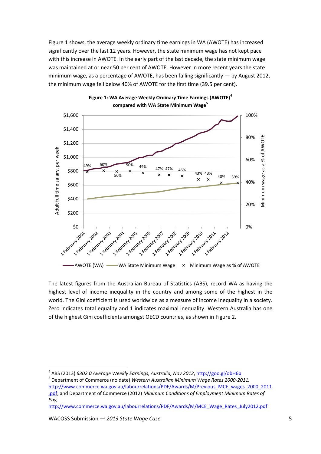[Figure 1](#page-4-0) shows, the average weekly ordinary time earnings in WA (AWOTE) has increased significantly over the last 12 years. However, the state minimum wage has not kept pace with this increase in AWOTE. In the early part of the last decade, the state minimum wage was maintained at or near 50 per cent of AWOTE. However in more recent years the state minimum wage, as a percentage of AWOTE, has been falling significantly — by August 2012, the minimum wage fell below 40% of AWOTE for the first time (39.5 per cent).



<span id="page-4-0"></span>

The latest figures from the Australian Bureau of Statistics (ABS), record WA as having the highest level of income inequality in the country and among some of the highest in the world. The Gini coefficient is used worldwide as a measure of income inequality in a society. Zero indicates total equality and 1 indicates maximal inequality. Western Australia has one of the highest Gini coefficients amongst OECD countries, as shown i[n Figure 2.](#page-5-0)

[http://www.commerce.wa.gov.au/labourrelations/PDF/Awards/M/MCE\\_Wage\\_Rates\\_July2012.pdf.](http://www.commerce.wa.gov.au/labourrelations/PDF/Awards/M/MCE_Wage_Rates_July2012.pdf)

 $\overline{a}$ 

<sup>&</sup>lt;sup>4</sup> ABS (2013) *6302.0 Average Weekly Earnings, Australia, Nov 2012*, <u>http://goo.gl/obH6b</u>.

<sup>5</sup> Department of Commerce (no date) *Western Australian Minimum Wage Rates 2000-2011,* 

[http://www.commerce.wa.gov.au/labourrelations/PDF/Awards/M/Previous\\_MCE\\_wages\\_2000\\_2011](http://www.commerce.wa.gov.au/labourrelations/PDF/Awards/M/Previous_MCE_wages_2000_2011.pdf) [.pdf;](http://www.commerce.wa.gov.au/labourrelations/PDF/Awards/M/Previous_MCE_wages_2000_2011.pdf) and Department of Commerce (2012) *Minimum Conditions of Employment Minimum Rates of Pay,*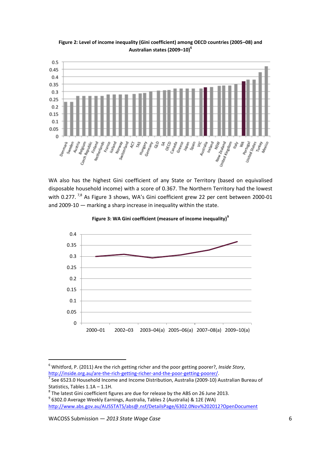

<span id="page-5-0"></span>**Figure 2: Level of income inequality (Gini coefficient) among OECD countries (2005–08) and Australian states (2009–10)<sup>6</sup>**

WA also has the highest Gini coefficient of any State or Territory (based on equivalised disposable household income) with a score of 0.367. The Northern Territory had the lowest with 0.277.<sup>7,8</sup> As [Figure 3](#page-5-1) shows, WA's Gini coefficient grew 22 per cent between 2000-01 and 2009-10 — marking a sharp increase in inequality within the state.

<span id="page-5-1"></span>



<sup>6</sup> Whitford, P. (2011) Are the rich getting richer and the poor getting poorer?, *Inside Story*, [http://inside.org.au/are-the-rich-getting-richer-and-the-poor-getting-poorer/.](http://inside.org.au/are-the-rich-getting-richer-and-the-poor-getting-poorer/) 

 $^7$  See 6523.0 Household Income and Income Distribution, Australia (2009-10) Australian Bureau of Statistics, Tables 1.1A – 1.1H.

 $^8$  The latest Gini coefficient figures are due for release by the ABS on 26 June 2013.

<sup>9</sup> 6302.0 Average Weekly Earnings, Australia, Tables 2 (Australia) & 12E (WA) <http://www.abs.gov.au/AUSSTATS/abs@.nsf/DetailsPage/6302.0Nov%202012?OpenDocument>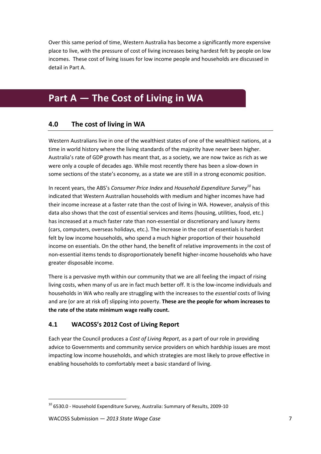Over this same period of time, Western Australia has become a significantly more expensive place to live, with the pressure of cost of living increases being hardest felt by people on low incomes. These cost of living issues for low income people and households are discussed in detail in Part A.

# <span id="page-6-1"></span><span id="page-6-0"></span>**Part A — The Cost of Living in WA**

# **4.0 The cost of living in WA**

Western Australians live in one of the wealthiest states of one of the wealthiest nations, at a time in world history where the living standards of the majority have never been higher. Australia's rate of GDP growth has meant that, as a society, we are now twice as rich as we were only a couple of decades ago. While most recently there has been a slow-down in some sections of the state's economy, as a state we are still in a strong economic position.

In recent years, the ABS's *Consumer Price Index* and *Household Expenditure Survey<sup>10</sup>* has indicated that Western Australian households with medium and higher incomes have had their income increase at a faster rate than the cost of living in WA. However, analysis of this data also shows that the cost of essential services and items (housing, utilities, food, etc.) has increased at a much faster rate than non-essential or discretionary and luxury items (cars, computers, overseas holidays, etc.). The increase in the cost of essentials is hardest felt by low income households, who spend a much higher proportion of their household income on essentials. On the other hand, the benefit of relative improvements in the cost of non-essential items tends to disproportionately benefit higher-income households who have greater disposable income.

There is a pervasive myth within our community that we are all feeling the impact of rising living costs, when many of us are in fact much better off. It is the low-income individuals and households in WA who really are struggling with the increases to the *essential* costs of living and are (or are at risk of) slipping into poverty. **These are the people for whom increases to the rate of the state minimum wage really count.**

#### <span id="page-6-2"></span>**4.1 WACOSS's 2012 Cost of Living Report**

Each year the Council produces a *Cost of Living Report*, as a part of our role in providing advice to Governments and community service providers on which hardship issues are most impacting low income households, and which strategies are most likely to prove effective in enabling households to comfortably meet a basic standard of living.

 $10$  6530.0 - Household Expenditure Survey, Australia: Summary of Results, 2009-10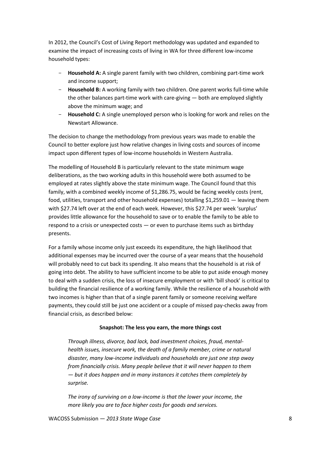In 2012, the Council's Cost of Living Report methodology was updated and expanded to examine the impact of increasing costs of living in WA for three different low-income household types:

- **Household A:** A single parent family with two children, combining part-time work and income support;
- **Household B:** A working family with two children. One parent works full-time while the other balances part-time work with care-giving — both are employed slightly above the minimum wage; and
- Household C: A single unemployed person who is looking for work and relies on the Newstart Allowance.

The decision to change the methodology from previous years was made to enable the Council to better explore just how relative changes in living costs and sources of income impact upon different types of low-income households in Western Australia.

The modelling of Household B is particularly relevant to the state minimum wage deliberations, as the two working adults in this household were both assumed to be employed at rates slightly above the state minimum wage. The Council found that this family, with a combined weekly income of \$1,286.75, would be facing weekly costs (rent, food, utilities, transport and other household expenses) totalling \$1,259.01 — leaving them with \$27.74 left over at the end of each week. However, this \$27.74 per week 'surplus' provides little allowance for the household to save or to enable the family to be able to respond to a crisis or unexpected costs — or even to purchase items such as birthday presents.

For a family whose income only just exceeds its expenditure, the high likelihood that additional expenses may be incurred over the course of a year means that the household will probably need to cut back its spending. It also means that the household is at risk of going into debt. The ability to have sufficient income to be able to put aside enough money to deal with a sudden crisis, the loss of insecure employment or with 'bill shock' is critical to building the financial resilience of a working family. While the resilience of a household with two incomes is higher than that of a single parent family or someone receiving welfare payments, they could still be just one accident or a couple of missed pay-checks away from financial crisis, as described below:

#### **Snapshot: The less you earn, the more things cost**

*Through illness, divorce, bad lack, bad investment choices, fraud, mentalhealth issues, insecure work, the death of a family member, crime or natural disaster, many low-income individuals and households are just one step away from financially crisis. Many people believe that it will never happen to them — but it does happen and in many instances it catches them completely by surprise.* 

*The irony of surviving on a low-income is that the lower your income, the more likely you are to face higher costs for goods and services.*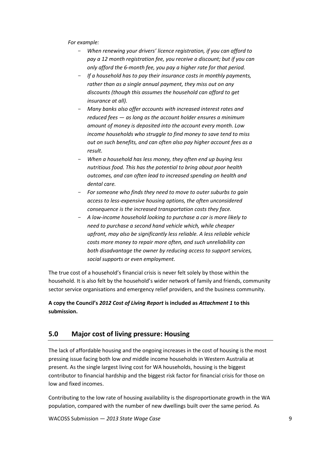*For example:* 

- *When renewing your drivers' licence registration, if you can afford to pay a 12 month registration fee, you receive a discount; but if you can only afford the 6-month fee, you pay a higher rate for that period.*
- *If a household has to pay their insurance costs in monthly payments, rather than as a single annual payment, they miss out on any discounts (though this assumes the household can afford to get insurance at all).*
- *Many banks also offer accounts with increased interest rates and reduced fees — as long as the account holder ensures a minimum amount of money is deposited into the account every month. Low income households who struggle to find money to save tend to miss out on such benefits, and can often also pay higher account fees as a result.*
- *When a household has less money, they often end up buying less nutritious food. This has the potential to bring about poor health outcomes, and can often lead to increased spending on health and dental care.*
- *For someone who finds they need to move to outer suburbs to gain access to less-expensive housing options, the often unconsidered consequence is the increased transportation costs they face.*
- *A low-income household looking to purchase a car is more likely to need to purchase a second hand vehicle which, while cheaper upfront, may also be significantly less reliable. A less reliable vehicle costs more money to repair more often, and such unreliability can both disadvantage the owner by reducing access to support services, social supports or even employment.*

The true cost of a household's financial crisis is never felt solely by those within the household. It is also felt by the household's wider network of family and friends, community sector service organisations and emergency relief providers, and the business community.

## **A copy the Council's** *2012 Cost of Living Report* **is included as** *Attachment 1* **to this submission.**

# <span id="page-8-0"></span>**5.0 Major cost of living pressure: Housing**

The lack of affordable housing and the ongoing increases in the cost of housing is the most pressing issue facing both low *and* middle income households in Western Australia at present. As the single largest living cost for WA households, housing is the biggest contributor to financial hardship and the biggest risk factor for financial crisis for those on low and fixed incomes.

Contributing to the low rate of housing availability is the disproportionate growth in the WA population, compared with the number of new dwellings built over the same period. As

WACOSS Submission — *2013 State Wage Case* 9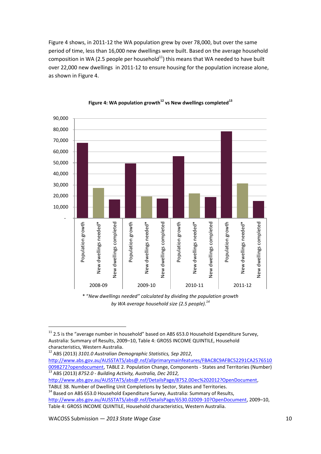[Figure 4](#page-9-0) shows, in 2011-12 the WA population grew by over 78,000, but over the same period of time, less than 16,000 new dwellings were built. Based on the average household composition in WA (2.5 people per household $^{11}$ ) this means that WA needed to have built over 22,000 new dwellings in 2011-12 to ensure housing for the population increase alone, as shown in Figure 4.

<span id="page-9-0"></span>



\* "*New dwellings needed" calculated by dividing the population growth by WA average household size (2.5 people). 14*

 $11$  2.5 is the "average number in household" based on ABS 653.0 Household Expenditure Survey, Australia: Summary of Results, 2009–10, Table 4: GROSS INCOME QUINTILE, Household characteristics, Western Australia.

<sup>12</sup> ABS (2013) *3101.0 Australian Demographic Statistics, Sep 2012*, [http://www.abs.gov.au/AUSSTATS/abs@.nsf/allprimarymainfeatures/FBAC8C9AFBC52291CA2576510](http://www.abs.gov.au/AUSSTATS/abs@.nsf/allprimarymainfeatures/FBAC8C9AFBC52291CA25765100098272?opendocument) [0098272?opendocument,](http://www.abs.gov.au/AUSSTATS/abs@.nsf/allprimarymainfeatures/FBAC8C9AFBC52291CA25765100098272?opendocument) TABLE 2. Population Change, Components - States and Territories (Number) <sup>13</sup> ABS (2013) *8752.0 - Building Activity, Australia, Dec 2012,* 

[http://www.abs.gov.au/AUSSTATS/abs@.nsf/DetailsPage/8752.0Dec%202012?OpenDocument,](http://www.abs.gov.au/AUSSTATS/abs@.nsf/DetailsPage/8752.0Dec%202012?OpenDocument)

TABLE 38. Number of Dwelling Unit Completions by Sector, States and Territories. <sup>14</sup> Based on ABS 653.0 Household Expenditure Survey, Australia: Summary of Results,

[http://www.abs.gov.au/AUSSTATS/abs@.nsf/DetailsPage/6530.02009-10?OpenDocument,](http://www.abs.gov.au/AUSSTATS/abs@.nsf/DetailsPage/6530.02009-10?OpenDocument) 2009–10,

Table 4: GROSS INCOME QUINTILE, Household characteristics, Western Australia.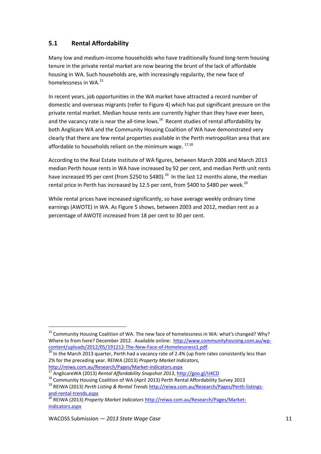# <span id="page-10-0"></span>**5.1 Rental Affordability**

Many low and medium-income households who have traditionally found long-term housing tenure in the private rental market are now bearing the brunt of the lack of affordable housing in WA. Such households are, with increasingly regularity, the new face of homelessness in WA.<sup>15</sup>

In recent years, job opportunities in the WA market have attracted a record number of domestic and overseas migrants (refer to [Figure 4\)](#page-9-0) which has put significant pressure on the private rental market. Median house rents are currently higher than they have ever been, and the vacancy rate is near the all-time lows.<sup>16</sup> Recent studies of rental affordability by both Anglicare WA and the Community Housing Coalition of WA have demonstrated very clearly that there are few rental properties available in the Perth metropolitan area that are affordable to households reliant on the minimum wage.  $^{17,18}$ 

According to the Real Estate Institute of WA figures, between March 2006 and March 2013 median Perth house rents in WA have increased by 92 per cent, and median Perth unit rents have increased 95 per cent (from \$250 to \$480).<sup>19</sup> In the last 12 months alone, the median rental price in Perth has increased by 12.5 per cent, from \$400 to \$480 per week.<sup>20</sup>

While rental prices have increased significantly, so have average weekly ordinary time earnings (AWOTE) in WA. As [Figure 5](#page-11-0) shows, between 2003 and 2012, median rent as a percentage of AWOTE increased from 18 per cent to 30 per cent.

 $\frac{16}{16}$  In the March 2013 quarter, Perth had a vacancy rate of 2.4% (up from rates consistently less than 2% for the preceding year. REIWA (2013) *Property Market Indicators,*  <http://reiwa.com.au/Research/Pages/Market-indicators.aspx>

<sup>&</sup>lt;sup>15</sup> Community Housing Coalition of WA. The new face of homelessness in WA: what's changed? Why? Where to from here? December 2012. Available online: [http://www.communityhousing.com.au/wp](http://www.communityhousing.com.au/wp-content/uploads/2012/05/191212-The-New-Face-of-Homelessness1.pdf)[content/uploads/2012/05/191212-The-New-Face-of-Homelessness1.pdf.](http://www.communityhousing.com.au/wp-content/uploads/2012/05/191212-The-New-Face-of-Homelessness1.pdf)

<sup>17</sup> AnglicareWA (2013) *Rental Affordability Snapshot 2013*,<http://goo.gl/IJ4CD>

<sup>&</sup>lt;sup>18</sup> Community Housing Coalition of WA (April 2013) Perth Rental Affordability Survey 2013

<sup>19</sup> REIWA (2013) *Perth Listing & Rental Trends* [http://reiwa.com.au/Research/Pages/Perth-listings](http://reiwa.com.au/Research/Pages/Perth-listings-and-rental-trends.aspx)[and-rental-trends.aspx](http://reiwa.com.au/Research/Pages/Perth-listings-and-rental-trends.aspx)

<sup>20</sup> REIWA (2013) *Property Market Indicators* [http://reiwa.com.au/Research/Pages/Market](http://reiwa.com.au/Research/Pages/Market-indicators.aspx)[indicators.aspx](http://reiwa.com.au/Research/Pages/Market-indicators.aspx)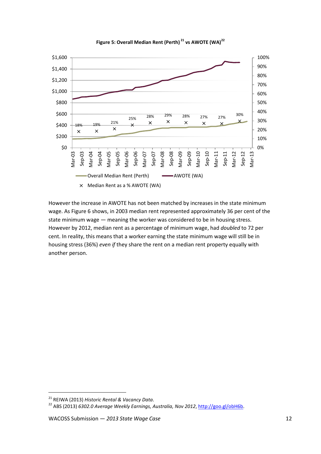<span id="page-11-0"></span>

**Figure 5: Overall Median Rent (Perth) <sup>21</sup> vs AWOTE (WA)<sup>22</sup>**

However the increase in AWOTE has not been matched by increases in the state minimum wage. As [Figure 6](#page-12-0) shows, in 2003 median rent represented approximately 36 per cent of the state minimum wage — meaning the worker was considered to be in housing stress. However by 2012, median rent as a percentage of minimum wage, had *doubled* to 72 per cent. In reality, this means that a worker earning the state minimum wage will still be in housing stress (36%) *even if* they share the rent on a median rent property equally with another person.

<sup>21</sup> REIWA (2013) *Historic Rental & Vacancy Data.* 

<sup>&</sup>lt;sup>22</sup> ABS (2013) *6302.0 Average Weekly Earnings, Australia, Nov 2012*, [http://goo.gl/obH6b.](http://goo.gl/obH6b)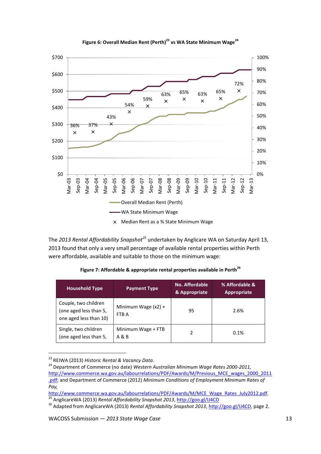<span id="page-12-0"></span>



The *2013 Rental Affordability Snapshot<sup>25</sup>* undertaken by Anglicare WA on Saturday April 13, 2013 found that only a very small percentage of available rental properties within Perth were affordable, available and suitable to those on the minimum wage:

**Figure 7: Affordable & appropriate rental properties available in Perth<sup>26</sup>**

| <b>Household Type</b>                                                    | <b>Payment Type</b>            | No. Affordable<br>& Appropriate | % Affordable &<br><b>Appropriate</b> |  |
|--------------------------------------------------------------------------|--------------------------------|---------------------------------|--------------------------------------|--|
| Couple, two children<br>(one aged less than 5,<br>one aged less than 10) | Minimum Wage $(x2) +$<br>FTB A | 95                              | 2.6%                                 |  |
| Single, two children<br>(one aged less than 5,                           | Minimum Wage + FTB<br>A & B    | 2                               | 0.1%                                 |  |

<sup>23</sup> REIWA (2013) *Historic Rental & Vacancy Data.* 

<sup>&</sup>lt;sup>24</sup> Department of Commerce (no date) *Western Australian Minimum Wage Rates 2000-2011*, [http://www.commerce.wa.gov.au/labourrelations/PDF/Awards/M/Previous\\_MCE\\_wages\\_2000\\_2011](http://www.commerce.wa.gov.au/labourrelations/PDF/Awards/M/Previous_MCE_wages_2000_2011.pdf) [.pdf;](http://www.commerce.wa.gov.au/labourrelations/PDF/Awards/M/Previous_MCE_wages_2000_2011.pdf) and Department of Commerce (2012) *Minimum Conditions of Employment Minimum Rates of Pay,* 

[http://www.commerce.wa.gov.au/labourrelations/PDF/Awards/M/MCE\\_Wage\\_Rates\\_July2012.pdf.](http://www.commerce.wa.gov.au/labourrelations/PDF/Awards/M/MCE_Wage_Rates_July2012.pdf) <sup>25</sup> AnglicareWA (2013) *Rental Affordability Snapshot 2013*,<http://goo.gl/IJ4CD>

<sup>26</sup> Adapted from AnglicareWA (2013) *Rental Affordability Snapshot 2013*, [http://goo.gl/IJ4CD,](http://goo.gl/IJ4CD) page 2.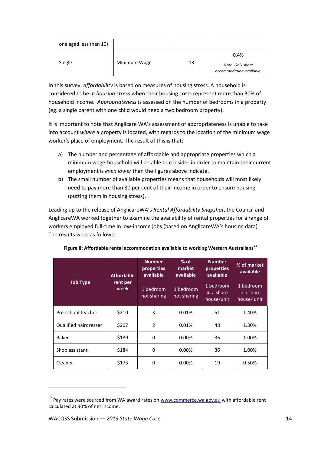| one aged less than 10) |              |    |                                                      |
|------------------------|--------------|----|------------------------------------------------------|
| Single                 | Minimum Wage | 13 | 0.4%<br>Note: Only share<br>accommodation available. |

In this survey, *affordability* is based on measures of housing stress. A household is considered to be in *housing stress* when their housing costs represent more than 30% of household income. *Appropriateness* is assessed on the number of bedrooms in a property (eg. a single parent with one child would need a two bedroom property).

It is important to note that Anglicare WA's assessment of appropriateness is unable to take into account *where* a property is located, with regards to the location of the minimum wage worker's place of employment. The result of this is that:

- a) The number and percentage of affordable and appropriate properties which a minimum wage-household will be able to consider in order to maintain their current employment is *even lower* than the figures above indicate.
- b) The small number of available properties means that households will most likely need to pay more than 30 per cent of their income in order to ensure housing (putting them in housing stress).

Leading up to the release of AnglicareWA's *Rental Affordability Snapshot*, the Council and AnglicareWA worked together to examine the availability of rental properties for a range of workers employed full-time in low-income jobs (based on AnglicareWA's housing data). The results were as follows:

|                              | <b>Affordable</b><br>rent per<br>week | <b>Number</b><br>properties<br>available | $%$ of<br>market<br>available | <b>Number</b><br>properties<br>available | % of market<br>available               |
|------------------------------|---------------------------------------|------------------------------------------|-------------------------------|------------------------------------------|----------------------------------------|
| <b>Job Type</b>              |                                       | 1 bedroom<br>not sharing                 | 1 bedroom<br>not sharing      | 1 bedroom<br>in a share<br>house/unit    | 1 bedroom<br>in a share<br>house/ unit |
| Pre-school teacher           | \$210                                 | 3                                        | 0.01%                         | 51                                       | 1.40%                                  |
| <b>Qualified hairdresser</b> | \$207                                 | $\overline{2}$                           | 0.01%                         | 48                                       | 1.30%                                  |
| Baker                        | \$189                                 | $\Omega$                                 | 0.00%                         | 36                                       | 1.00%                                  |
| Shop assistant               | \$184                                 | $\Omega$                                 | 0.00%                         | 36                                       | 1.00%                                  |
| Cleaner                      | \$173                                 | $\Omega$                                 | 0.00%                         | 19                                       | 0.50%                                  |

| Figure 8: Affordable rental accommodation available to working Western Australians <sup>2</sup> |  |
|-------------------------------------------------------------------------------------------------|--|
|-------------------------------------------------------------------------------------------------|--|

<sup>&</sup>lt;sup>27</sup> Pay rates were sourced from WA award rates on [www.commerce.wa.gov.au](http://www.commerce.wa.gov.au/) with affordable rent calculated at 30% of net income.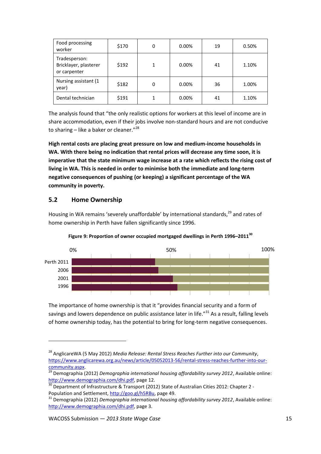| Food processing<br>worker                              | \$170 | 0 | 0.00% | 19 | 0.50% |
|--------------------------------------------------------|-------|---|-------|----|-------|
| Tradesperson:<br>Bricklayer, plasterer<br>or carpenter | \$192 |   | 0.00% | 41 | 1.10% |
| Nursing assistant (1<br>year)                          | \$182 | 0 | 0.00% | 36 | 1.00% |
| Dental technician                                      | \$191 |   | 0.00% | 41 | 1.10% |

The analysis found that "the only realistic options for workers at this level of income are in share accommodation, even if their jobs involve non-standard hours and are not conducive to sharing – like a baker or cleaner."<sup>28</sup>

**High rental costs are placing great pressure on low and medium-income households in WA. With there being no indication that rental prices will decrease any time soon, it is imperative that the state minimum wage increase at a rate which reflects the rising cost of living in WA. This is needed in order to minimise both the immediate and long-term negative consequences of pushing (or keeping) a significant percentage of the WA community in poverty.** 

## <span id="page-14-0"></span>**5.2 Home Ownership**

**.** 

Housing in WA remains 'severely unaffordable' by international standards,<sup>29</sup> and rates of home ownership in Perth have fallen significantly since 1996.





The importance of home ownership is that it "provides financial security and a form of savings and lowers dependence on public assistance later in life."<sup>31</sup> As a result, falling levels of home ownership today, has the potential to bring for long-term negative consequences.

<sup>28</sup> AnglicareWA (5 May 2012) *Media Release: Rental Stress Reaches Further into our Community*, [https://www.anglicarewa.org.au/news/article/05052013-56/rental-stress-reaches-further-into-our](https://www.anglicarewa.org.au/news/article/05052013-56/rental-stress-reaches-further-into-our-community.aspx)[community.aspx.](https://www.anglicarewa.org.au/news/article/05052013-56/rental-stress-reaches-further-into-our-community.aspx)

<sup>29</sup> Demographia (2012) *Demographia international housing affordability survey 2012*, Available online: [http://www.demographia.com/dhi.pdf,](http://www.demographia.com/dhi.pdf) page 12.

Department of Infrastructure & Transport (2012) State of Australian Cities 2012: Chapter 2 -Population and Settlement, [http://goo.gl/h5RBu,](http://goo.gl/h5RBu) page 49.

<sup>31</sup> Demographia (2012) *Demographia international housing affordability survey 2012*, Available online: [http://www.demographia.com/dhi.pdf,](http://www.demographia.com/dhi.pdf) page 3.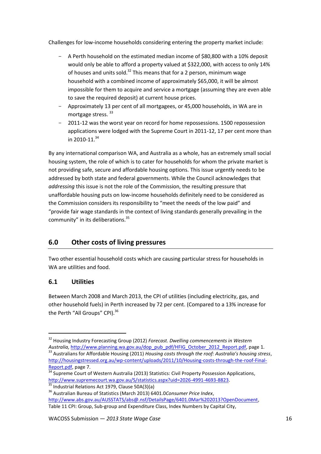Challenges for low-income households considering entering the property market include:

- A Perth household on the estimated median income of \$80,800 with a 10% deposit would only be able to afford a property valued at \$322,000, with access to only 14% of houses and units sold.<sup>32</sup> This means that for a 2 person, minimum wage household with a combined income of approximately \$65,000, it will be almost impossible for them to acquire and service a mortgage (assuming they are even able to save the required deposit) at current house prices.
- Approximately 13 per cent of all mortgagees, or 45,000 households, in WA are in mortgage stress.<sup>33</sup>
- 2011-12 was the worst year on record for home repossessions. 1500 repossession applications were lodged with the Supreme Court in 2011-12, 17 per cent more than in 2010-11. $34$

By any international comparison WA, and Australia as a whole, has an extremely small social housing system, the role of which is to cater for households for whom the private market is not providing safe, secure and affordable housing options. This issue urgently needs to be addressed by both state and federal governments. While the Council acknowledges that *addressing* this issue is not the role of the Commission, the resulting pressure that unaffordable housing puts on low-income households definitely need to be considered as the Commission considers its responsibility to "meet the needs of the low paid" and "provide fair wage standards in the context of living standards generally prevailing in the community" in its deliberations.<sup>35</sup>

# <span id="page-15-0"></span>**6.0 Other costs of living pressures**

Two other essential household costs which are causing particular stress for households in WA are utilities and food.

# <span id="page-15-1"></span>**6.1 Utilities**

 $\overline{a}$ 

Between March 2008 and March 2013, the CPI of utilities (including electricity, gas, and other household fuels) in Perth increased by 72 per cent. (Compared to a 13% increase for the Perth "All Groups" CPI).<sup>36</sup>

<sup>32</sup> Housing Industry Forecasting Group (2012) *Forecast. Dwelling commencements in Western Australia,* [http://www.planning.wa.gov.au/dop\\_pub\\_pdf/HFIG\\_October\\_2012\\_Report.pdf,](http://www.planning.wa.gov.au/dop_pub_pdf/HFIG_October_2012_Report.pdf) page 1.

<sup>33</sup> Australians for Affordable Housing (2011) *Housing costs through the roof: Australia's housing stress*, [http://housingstressed.org.au/wp-content/uploads/2011/10/Housing-costs-through-the-roof-Final-](http://housingstressed.org.au/wp-content/uploads/2011/10/Housing-costs-through-the-roof-Final-Report.pdf)[Report.pdf,](http://housingstressed.org.au/wp-content/uploads/2011/10/Housing-costs-through-the-roof-Final-Report.pdf) page 7.

<sup>&</sup>lt;sup>34</sup> Supreme Court of Western Australia (2013) Statistics: Civil Property Possession Applications, [http://www.supremecourt.wa.gov.au/S/statistics.aspx?uid=2026-4991-4693-8823.](http://www.supremecourt.wa.gov.au/S/statistics.aspx?uid=2026-4991-4693-8823)  <sup>35</sup> Industrial Relations Act 1979, Clause 50A(3)(a)

<sup>36</sup> Australian Bureau of Statistics (March 2013) 6401.0*Consumer Price Index*, [http://www.abs.gov.au/AUSSTATS/abs@.nsf/DetailsPage/6401.0Mar%202013?OpenDocument,](http://www.abs.gov.au/AUSSTATS/abs@.nsf/DetailsPage/6401.0Mar%202013?OpenDocument) Table 11 CPI: Group, Sub-group and Expenditure Class, Index Numbers by Capital City,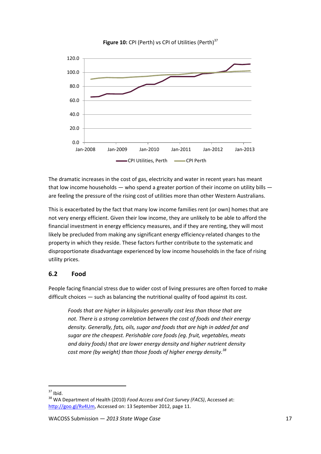

**Figure 10:** CPI (Perth) vs CPI of Utilities (Perth)<sup>37</sup>

The dramatic increases in the cost of gas, electricity and water in recent years has meant that low income households — who spend a greater portion of their income on utility bills are feeling the pressure of the rising cost of utilities more than other Western Australians.

This is exacerbated by the fact that many low income families rent (or own) homes that are not very energy efficient. Given their low income, they are unlikely to be able to afford the financial investment in energy efficiency measures, and if they are renting, they will most likely be precluded from making any significant energy efficiency-related changes to the property in which they reside. These factors further contribute to the systematic and disproportionate disadvantage experienced by low income households in the face of rising utility prices.

#### <span id="page-16-0"></span>**6.2 Food**

People facing financial stress due to wider cost of living pressures are often forced to make difficult choices — such as balancing the nutritional quality of food against its cost.

*Foods that are higher in kilojoules generally cost less than those that are not. There is a strong correlation between the cost of foods and their energy density. Generally, fats, oils, sugar and foods that are high in added fat and sugar are the cheapest. Perishable core foods (eg. fruit, vegetables, meats and dairy foods) that are lower energy density and higher nutrient density cost more (by weight) than those foods of higher energy density.<sup>38</sup>*

 $37$  Ibid.

<sup>38</sup> WA Department of Health (2010) *Food Access and Cost Survey (FACS)*, Accessed at: [http://goo.gl/Rv4Um,](http://goo.gl/Rv4Um) Accessed on: 13 September 2012, page 11.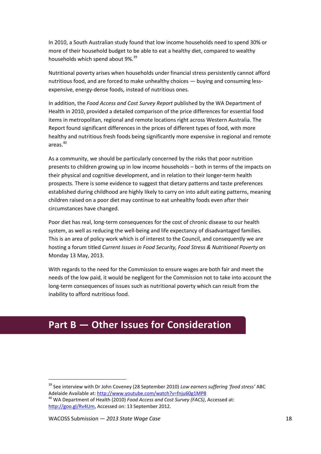In 2010, a South Australian study found that low income households need to spend 30% or more of their household budget to be able to eat a healthy diet, compared to wealthy households which spend about 9%.<sup>39</sup>

Nutritional poverty arises when households under financial stress persistently cannot afford nutritious food, and are forced to make unhealthy choices — buying and consuming lessexpensive, energy-dense foods, instead of nutritious ones.

In addition, the *Food Access and Cost Survey Report* published by the WA Department of Health in 2010, provided a detailed comparison of the price differences for essential food items in metropolitan, regional and remote locations right across Western Australia. The Report found significant differences in the prices of different types of food, with more healthy and nutritious fresh foods being significantly more expensive in regional and remote areas.<sup>40</sup>

As a community, we should be particularly concerned by the risks that poor nutrition presents to children growing up in low income households – both in terms of the impacts on their physical and cognitive development, and in relation to their longer-term health prospects. There is some evidence to suggest that dietary patterns and taste preferences established during childhood are highly likely to carry on into adult eating patterns, meaning children raised on a poor diet may continue to eat unhealthy foods even after their circumstances have changed.

Poor diet has real, long-term consequences for the cost of chronic disease to our health system, as well as reducing the well-being and life expectancy of disadvantaged families. This is an area of policy work which is of interest to the Council, and consequently we are hosting a forum titled *Current Issues in Food Security, Food Stress & Nutritional Poverty* on Monday 13 May, 2013.

With regards to the need for the Commission to ensure wages are both fair and meet the needs of the low paid, it would be negligent for the Commission not to take into account the long-term consequences of issues such as nutritional poverty which can result from the inability to afford nutritious food.

# <span id="page-17-0"></span>**Part B — Other Issues for Consideration**

 $\overline{a}$ 

<sup>39</sup> See interview with Dr John Coveney (28 September 2010) *Low earners suffering 'food stress'* ABC Adelaide Available at:<http://www.youtube.com/watch?v=fnju60g1MP8>

<sup>40</sup> WA Department of Health (2010) *Food Access and Cost Survey (FACS)*, Accessed at: [http://goo.gl/Rv4Um,](http://goo.gl/Rv4Um) Accessed on: 13 September 2012.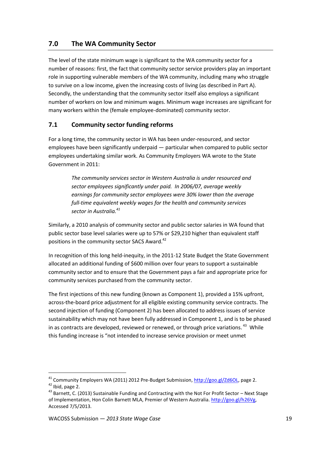# <span id="page-18-0"></span>**7.0 The WA Community Sector**

The level of the state minimum wage is significant to the WA community sector for a number of reasons: first, the fact that community sector service providers play an important role in supporting vulnerable members of the WA community, including many who struggle to survive on a low income, given the increasing costs of living (as described in Part A). Secondly, the understanding that the community sector itself also employs a significant number of workers on low and minimum wages. Minimum wage increases are significant for many workers within the (female employee-dominated) community sector.

#### <span id="page-18-1"></span>**7.1 Community sector funding reforms**

For a long time, the community sector in WA has been under-resourced, and sector employees have been significantly underpaid — particular when compared to public sector employees undertaking similar work. As Community Employers WA wrote to the State Government in 2011:

> *The community services sector in Western Australia is under resourced and sector employees significantly under paid. In 2006/07, average weekly earnings for community sector employees were 30% lower than the average full-time equivalent weekly wages for the health and community services sector in Australia. 41*

Similarly, a 2010 analysis of community sector and public sector salaries in WA found that public sector base level salaries were up to 57% or \$29,210 higher than equivalent staff positions in the community sector SACS Award.<sup>42</sup>

In recognition of this long held-inequity, in the 2011-12 State Budget the State Government allocated an additional funding of \$600 million over four years to support a sustainable community sector and to ensure that the Government pays a fair and appropriate price for community services purchased from the community sector.

The first injections of this new funding (known as Component 1), provided a 15% upfront, across-the-board price adjustment for all eligible existing community service contracts. The second injection of funding (Component 2) has been allocated to address issues of service sustainability which may not have been fully addressed in Component 1, and is to be phased in as contracts are developed, reviewed or renewed, or through price variations.<sup>43</sup> While this funding increase is "not intended to increase service provision or meet unmet

<sup>&</sup>lt;sup>41</sup> Community Employers WA (2011) 2012 Pre-Budget Submission, [http://goo.gl/Zd6OL,](http://goo.gl/Zd6OL) page 2.

<sup>42</sup> Ibid, page 2.

<sup>43</sup> Barnett, C. (2013) Sustainable Funding and Contracting with the Not For Profit Sector – Next Stage of Implementation, Hon Colin Barnett MLA, Premier of Western Australia. [http://goo.gl/h26Vg,](http://goo.gl/h26Vg) Accessed 7/5/2013.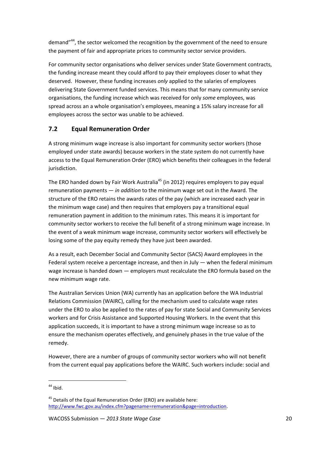demand"<sup>44</sup>, the sector welcomed the recognition by the government of the need to ensure the payment of fair and appropriate prices to community sector service providers.

For community sector organisations who deliver services under State Government contracts, the funding increase meant they could afford to pay their employees closer to what they deserved. However, these funding increases *only* applied to the salaries of employees delivering State Government funded services. This means that for many community service organisations, the funding increase which was received for only *some* employees, was spread across an a whole organisation's employees, meaning a 15% salary increase for all employees across the sector was unable to be achieved.

# <span id="page-19-0"></span>**7.2 Equal Remuneration Order**

A strong minimum wage increase is also important for community sector workers (those employed under state awards) because workers in the state system do not currently have access to the Equal Remuneration Order (ERO) which benefits their colleagues in the federal jurisdiction.

The ERO handed down by Fair Work Australia<sup>45</sup> (in 2012) requires employers to pay equal remuneration payments — *in addition* to the minimum wage set out in the Award. The structure of the ERO retains the awards rates of the pay (which are increased each year in the minimum wage case) and then requires that employers pay a transitional equal remuneration payment in addition to the minimum rates. This means it is important for community sector workers to receive the full benefit of a strong minimum wage increase. In the event of a weak minimum wage increase, community sector workers will effectively be losing some of the pay equity remedy they have just been awarded.

As a result, each December Social and Community Sector (SACS) Award employees in the Federal system receive a percentage increase, and then in July — when the federal minimum wage increase is handed down — employers must recalculate the ERO formula based on the new minimum wage rate.

The Australian Services Union (WA) currently has an application before the WA Industrial Relations Commission (WAIRC), calling for the mechanism used to calculate wage rates under the ERO to also be applied to the rates of pay for state Social and Community Services workers and for Crisis Assistance and Supported Housing Workers. In the event that this application succeeds, it is important to have a strong minimum wage increase so as to ensure the mechanism operates effectively, and genuinely phases in the true value of the remedy.

However, there are a number of groups of community sector workers who will not benefit from the current equal pay applications before the WAIRC. Such workers include: social and

 $\overline{a}$ 

 $44$  Ibid.

<sup>&</sup>lt;sup>45</sup> Details of the Equal Remuneration Order (ERO) are available here: [http://www.fwc.gov.au/index.cfm?pagename=remuneration&page=introduction.](http://www.fwc.gov.au/index.cfm?pagename=remuneration&page=introduction)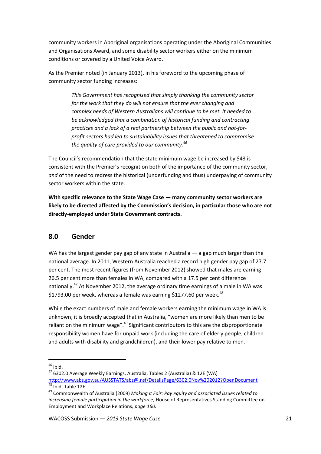community workers in Aboriginal organisations operating under the Aboriginal Communities and Organisations Award, and some disability sector workers either on the minimum conditions or covered by a United Voice Award.

As the Premier noted (in January 2013), in his foreword to the upcoming phase of community sector funding increases:

> *This Government has recognised that simply thanking the community sector for the work that they do will not ensure that the ever changing and complex needs of Western Australians will continue to be met. It needed to be acknowledged that a combination of historical funding and contracting practices and a lack of a real partnership between the public and not-forprofit sectors had led to sustainability issues that threatened to compromise the quality of care provided to our community.<sup>46</sup>*

The Council's recommendation that the state minimum wage be increased by \$43 is consistent with the Premier's recognition both of the importance of the community sector, *and* of the need to redress the historical (underfunding and thus) underpaying of community sector workers within the state.

**With specific relevance to the State Wage Case — many community sector workers are likely to be directed affected by the Commission's decision, in particular those who are not directly-employed under State Government contracts.**

#### <span id="page-20-0"></span>**8.0 Gender**

WA has the largest gender pay gap of any state in Australia — a gap much larger than the national average. In 2011, Western Australia reached a record high gender pay gap of 27.7 per cent. The most recent figures (from November 2012) showed that males are earning 26.5 per cent more than females in WA, compared with a 17.5 per cent difference nationally.<sup>47</sup> At November 2012, the average ordinary time earnings of a male in WA was \$1793.00 per week, whereas a female was earning \$1277.60 per week. $48$ 

While the exact numbers of male and female workers earning the minimum wage in WA is unknown, it is broadly accepted that in Australia, "women are more likely than men to be reliant on the minimum wage". $49$  Significant contributors to this are the disproportionate responsibility women have for unpaid work (including the care of elderly people, children and adults with disability and grandchildren), and their lower pay relative to men.

 $46$  Ibid.

<sup>47</sup> 6302.0 Average Weekly Earnings, Australia, Tables 2 (Australia) & 12E (WA) <http://www.abs.gov.au/AUSSTATS/abs@.nsf/DetailsPage/6302.0Nov%202012?OpenDocument> Ibid, Table 12E.

<sup>49</sup> Commonwealth of Australia (2009) *Making it Fair: Pay equity and associated issues related to increasing female participation in the workforce,* House of Representatives Standing Committee on Employment and Workplace Relations*, page 160.*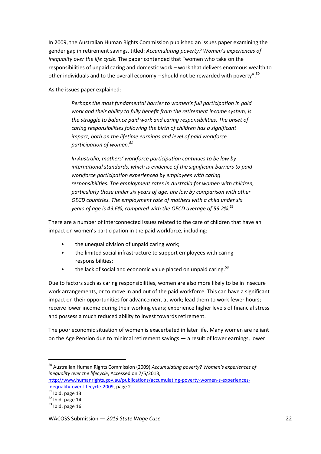In 2009, the Australian Human Rights Commission published an issues paper examining the gender gap in retirement savings, titled: *Accumulating poverty? Women's experiences of inequality over the life cycle.* The paper contended that "women who take on the responsibilities of unpaid caring and domestic work – work that delivers enormous wealth to other individuals and to the overall economy – should not be rewarded with poverty".<sup>50</sup>

As the issues paper explained:

*Perhaps the most fundamental barrier to women's full participation in paid work and their ability to fully benefit from the retirement income system, is the struggle to balance paid work and caring responsibilities. The onset of caring responsibilities following the birth of children has a significant impact, both on the lifetime earnings and level of paid workforce participation of women.<sup>51</sup>*

*In Australia, mothers' workforce participation continues to be low by international standards, which is evidence of the significant barriers to paid workforce participation experienced by employees with caring responsibilities. The employment rates in Australia for women with children, particularly those under six years of age, are low by comparison with other OECD countries. The employment rate of mothers with a child under six years of age is 49.6%, compared with the OECD average of 59.2%.<sup>52</sup>*

There are a number of interconnected issues related to the care of children that have an impact on women's participation in the paid workforce, including:

- the unequal division of unpaid caring work;
- the limited social infrastructure to support employees with caring responsibilities;
- the lack of social and economic value placed on unpaid caring.<sup>53</sup>

Due to factors such as caring responsibilities, women are also more likely to be in insecure work arrangements, or to move in and out of the paid workforce. This can have a significant impact on their opportunities for advancement at work; lead them to work fewer hours; receive lower income during their working years; experience higher levels of financial stress and possess a much reduced ability to invest towards retirement.

The poor economic situation of women is exacerbated in later life. Many women are reliant on the Age Pension due to minimal retirement savings — a result of lower earnings, lower

<sup>50</sup> Australian Human Rights Commission (2009) *Accumulating poverty? Women's experiences of inequality over the lifecycle*, Accessed on 7/5/2013,

[http://www.humanrights.gov.au/publications/accumulating-poverty-women-s-experiences](http://www.humanrights.gov.au/publications/accumulating-poverty-women-s-experiences-inequality-over-lifecycle-2009)[inequality-over-lifecycle-2009,](http://www.humanrights.gov.au/publications/accumulating-poverty-women-s-experiences-inequality-over-lifecycle-2009) page 2.

 $\overline{\hspace{1ex}}$  Ibid, page 13.

 $52$  Ibid, page 14.

 $53$  Ibid, page 16.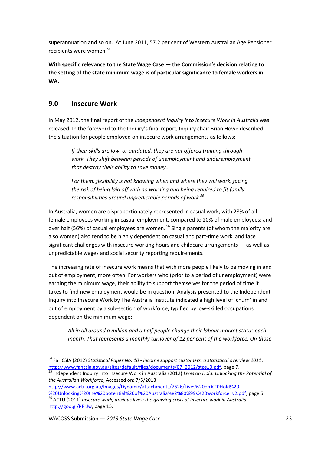superannuation and so on. At June 2011, 57.2 per cent of Western Australian Age Pensioner recipients were women. 54

**With specific relevance to the State Wage Case — the Commission's decision relating to the setting of the state minimum wage is of particular significance to female workers in WA.** 

# <span id="page-22-0"></span>**9.0 Insecure Work**

In May 2012, the final report of the *Independent Inquiry into Insecure Work in Australia* was released. In the foreword to the Inquiry's final report, Inquiry chair Brian Howe described the situation for people employed on insecure work arrangements as follows:

> *If their skills are low, or outdated, they are not offered training through work. They shift between periods of unemployment and underemployment that destroy their ability to save money…*

*For them, flexibility is not knowing when and where they will work, facing the risk of being laid off with no warning and being required to fit family responsibilities around unpredictable periods of work.<sup>55</sup>*

In Australia, women are disproportionately represented in casual work, with 28% of all female employees working in casual employment, compared to 20% of male employees; and over half (56%) of casual employees are women.<sup>56</sup> Single parents (of whom the majority are also women) also tend to be highly dependent on casual and part-time work, and face significant challenges with insecure working hours and childcare arrangements — as well as unpredictable wages and social security reporting requirements.

The increasing rate of insecure work means that with more people likely to be moving in and out of employment, more often. For workers who (prior to a period of unemployment) were earning the minimum wage, their ability to support themselves for the period of time it takes to find new employment would be in question. Analysis presented to the Independent Inquiry into Insecure Work by The Australia Institute indicated a high level of 'churn' in and out of employment by a sub-section of workforce, typified by low-skilled occupations dependent on the minimum wage:

*All in all around a million and a half people change their labour market status each month. That represents a monthly turnover of 12 per cent of the workforce. On those* 

<sup>54</sup> FaHCSIA (2012) *Statistical Paper No. 10 - Income support customers: a statistical overview 2011*, [http://www.fahcsia.gov.au/sites/default/files/documents/07\\_2012/stps10.pdf,](http://www.fahcsia.gov.au/sites/default/files/documents/07_2012/stps10.pdf) page 7.

<sup>55</sup> Independent Inquiry into Insecure Work in Australia (2012) *Lives on Hold: Unlocking the Potential of the Australian Workforce*, Accessed on: 7/5/2013

[http://www.actu.org.au/Images/Dynamic/attachments/7626/Lives%20on%20Hold%20-](http://www.actu.org.au/Images/Dynamic/attachments/7626/Lives%20on%20Hold%20-%20Unlocking%20the%20potential%20of%20Australia%e2%80%99s%20workforce_v2.pdf) [%20Unlocking%20the%20potential%20of%20Australia%e2%80%99s%20workforce\\_v2.pdf,](http://www.actu.org.au/Images/Dynamic/attachments/7626/Lives%20on%20Hold%20-%20Unlocking%20the%20potential%20of%20Australia%e2%80%99s%20workforce_v2.pdf) page 5. <sup>56</sup> ACTU (2011) *Insecure work, anxious lives: the growing crisis of insecure work in Australia*, [http://goo.gl/RPrJw,](http://goo.gl/RPrJw) page 15.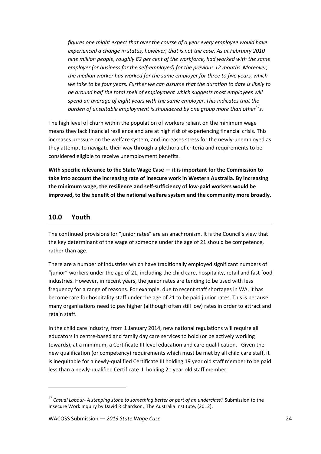*figures one might expect that over the course of a year every employee would have experienced a change in status, however, that is not the case. As at February 2010 nine million people, roughly 82 per cent of the workforce, had worked with the same employer (or business for the self-employed) for the previous 12 months.Moreover, the median worker has worked for the same employer for three to five years, which we take to be four years. Further we can assume that the duration to date is likely to be around half the total spell of employment which suggests most employees will spend an average of eight years with the same employer. This indicates that the burden of unsuitable employment is shouldered by one group more than other<sup>57</sup>s.*

The high level of churn within the population of workers reliant on the minimum wage means they lack financial resilience and are at high risk of experiencing financial crisis. This increases pressure on the welfare system, and increases stress for the newly-unemployed as they attempt to navigate their way through a plethora of criteria and requirements to be considered eligible to receive unemployment benefits.

**With specific relevance to the State Wage Case — it is important for the Commission to take into account the increasing rate of insecure work in Western Australia. By increasing the minimum wage, the resilience and self-sufficiency of low-paid workers would be improved, to the benefit of the national welfare system and the community more broadly.** 

## <span id="page-23-0"></span>**10.0 Youth**

1

The continued provisions for "junior rates" are an anachronism. It is the Council's view that the key determinant of the wage of someone under the age of 21 should be competence, rather than age.

There are a number of industries which have traditionally employed significant numbers of "junior" workers under the age of 21, including the child care, hospitality, retail and fast food industries. However, in recent years, the junior rates are tending to be used with less frequency for a range of reasons. For example, due to recent staff shortages in WA, it has become rare for hospitality staff under the age of 21 to be paid junior rates. This is because many organisations need to pay higher (although often still low) rates in order to attract and retain staff.

In the child care industry, from 1 January 2014, new national regulations will require all educators in centre-based and family day care services to hold (or be actively working towards), at a minimum, a Certificate III level education and care qualification. Given the new qualification (or competency) requirements which must be met by all child care staff, it is inequitable for a newly-qualified Certificate III holding 19 year old staff member to be paid less than a newly-qualified Certificate III holding 21 year old staff member.

<sup>57</sup> *Casual Labour- A stepping stone to something better or part of an underclass?* Submission to the Insecure Work Inquiry by David Richardson, The Australia Institute, (2012).